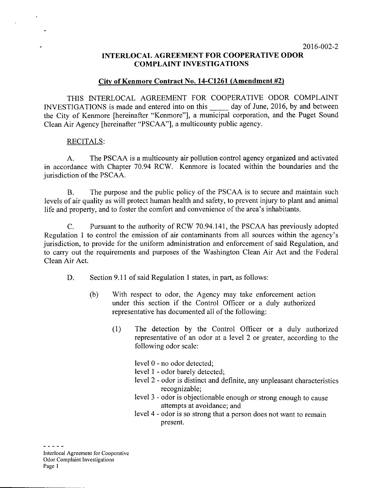# **INTERLOCAL AGREEMENT FOR COOPERATIVE ODOR COMPLAINT INVESTIGATIONS**

## **City of Kenmore Contract No. 14-C1261 (Amendment #2)**

THIS INTERLOCAL AGREEMENT FOR COOPERATIVE ODOR COMPLAINT INVESTIGATIONS is made and entered into on this \_\_\_\_\_ day of June, 2016, by and between the City of Kenmore [hereinafter "Kenmore"], a municipal corporation, and the Puget Sound Clean Air Agency [hereinafter "PSCAA"], a multicounty public agency.

#### RECITALS:

A. The PSCAA is a multicounty air pollution control agency organized and activated in accordance with Chapter 70.94 RCW. Kenmore is located within the boundaries and the jurisdiction of the PSCAA.

B. The purpose and the public policy of the PSCAA is to secure and maintain such levels of air quality as will protect human health and safety, to prevent injury to plant and animal life and property, and to foster the comfort and convenience of the area's inhabitants.

C. Pursuant to the authority of RCW 70.94.141, the PSCAA has previously adopted Regulation 1 to control the emission of air contaminants from all sources within the agency's jurisdiction, to provide for the uniform administration and enforcement of said Regulation, and to carry out the requirements and purposes of the Washington Clean Air Act and the Federal Clean Air Act.

- D. Section 9.11 of said Regulation 1 states, in part, as follows:
	- (b) With respect to odor, the Agency may take enforcement action under this section if the Control Officer or a duly authorized representative has documented all of the following:
		- (1) The detection by the Control Officer or a duly authorized representative of an odor at a level 2 or greater, according to the following odor scale:

level 0 - no odor detected;

- level 1 odor barely detected;
- level 2 odor is distinct and definite, any unpleasant characteristics recognizable;
- level 3 odor is objectionable enough or strong enough to cause attempts at avoidance; and
- level 4 odor is so strong that a person does not want to remain present.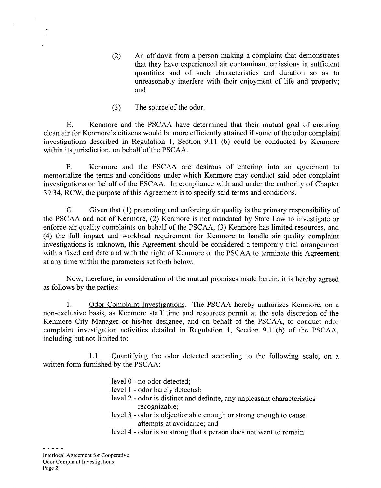- (2) An affidavit from a person making a complaint that demonstrates that they have experienced air contaminant emissions in sufficient quantities and of such characteristics and duration so as to unreasonably interfere with their enjoyment of life and property; and
- (3) The source of the odor.

E. Kenmore and the PSCAA have determined that their mutual goal of ensuring clean air for Kenmore's citizens would be more efficiently attained if some of the odor complaint investigations described in Regulation 1, Section 9.11 (b) could be conducted by Kenmore within its jurisdiction, on behalf of the PSCAA.

F. Kenmore and the PSCAA are desirous of entering into an agreement to memorialize the terms and conditions under which Kenmore may conduct said odor complaint investigations on behalf of the PSCAA. In compliance with and under the authority of Chapter 39.34, RCW, the purpose of this Agreement is to specify said terms and conditions.

G. Given that (1) promoting and enforcing air quality is the primary responsibility of the PSCAA and not of Kenmore, (2) Kenmore is not mandated by State Law to investigate or enforce air quality complaints on behalf of the PSCAA, (3) Kenmore has limited resources, and (4) the full impact and workload requirement for Kenmore to handle air quality complaint investigations is unknown, this Agreement should be considered a temporary trial arrangement with a fixed end date and with the right of Kenmore or the PSCAA to terminate this Agreement at any time within the parameters set forth below.

Now, therefore, in consideration of the mutual promises made herein, it is hereby agreed as follows by the parties:

1. Odor Complaint Investigations. The PSCAA hereby authorizes Kenmore, on a non-exclusive basis, as Kenmore staff time and resources permit at the sole discretion of the Kenmore City Manager or his/her designee, and on behalf of the PSCAA, to conduct odor complaint investigation activities detailed in Regulation 1, Section 9.11(b) of the PSCAA, including but not limited to:

1.1 Quantifying the odor detected according to the following scale, on a written form furnished by the PSCAA:

level 0 - no odor detected;

- level 1 odor barely detected;
- level 2 odor is distinct and definite, any unpleasant characteristics recognizable;
- level 3 odor is objectionable enough or strong enough to cause attempts at avoidance; and
- level 4 odor is so strong that a person does not want to remain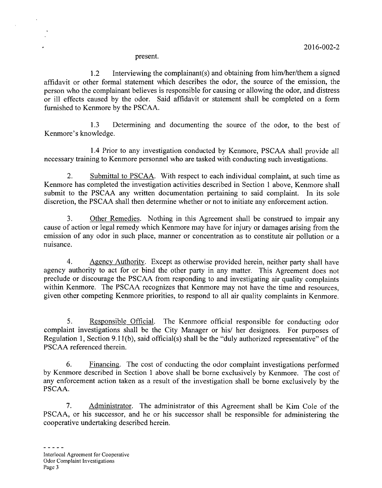present.

1.2 Interviewing the complainant(s) and obtaining from him/her/them a signed affidavit or other formal statement which describes the odor, the source of the emission, the person who the complainant believes is responsible for causing or allowing the odor, and distress or ill effects caused by the odor. Said affidavit or statement shall be completed on a form furnished to Kenmore by the PSCAA.

1.3 Determining and documenting the source of the odor, to the best of Kenmore's knowledge.

1.4 Prior to any investigation conducted by Kenmore, PSCAA shall provide all necessary training to Kenmore personnel who are tasked with conducting such investigations.

2. Submittal to PSCAA. With respect to each individual complaint, at such time as Kenmore has completed the investigation activities described in Section 1 above, Kenmore shall submit to the PSCAA any written documentation pertaining to said complaint. In its sole discretion, the PSCAA shall then determine whether or not to initiate any enforcement action.

3. Other Remedies. Nothing in this Agreement shall be construed to impair any cause of action or legal remedy which Kenmore may have for injury or damages arising from the emission of any odor in such place, manner or concentration as to constitute air pollution or a nuisance.

4. Agency Authority. Except as otherwise provided herein, neither party shall have agency authority to act for or bind the other party in any matter. This Agreement does not preclude or discourage the PSCAA from responding to and investigating air quality complaints within Kenmore. The PSCAA recognizes that Kenmore may not have the time and resources, given other competing Kenmore priorities, to respond to all air quality complaints in Kenmore.

5. Responsible Official. The Kenmore official responsible for conducting odor complaint investigations shall be the City Manager or his/ her designees. For purposes of Regulation 1, Section 9.1 l(b), said official(s) shall be the "duly authorized representative" of the PSCAA referenced therein.

6. Financing. The cost of conducting the odor complaint investigations performed by Kenmore described in Section 1 above shall be borne exclusively by Kenmore. The cost of any enforcement action taken as a result of the investigation shall be borne exclusively by the PSCAA.

7. Administrator. The administrator of this Agreement shall be Kim Cole of the PSCAA, or his successor, and he or his successor shall be responsible for administering the cooperative undertaking described herein.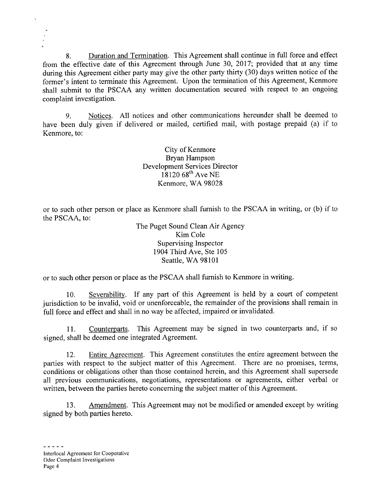8. Duration and Termination. This Agreement shall continue in full force and effect from the effective date of this Agreement through June 30, 2017; provided that at any time during this Agreement either party may give the other party thirty (30) days written notice of the former's intent to terminate this Agreement. Upon the termination of this Agreement, Kenmore shall submit to the PSCAA any written documentation secured with respect to an ongoing complaint investigation.

9. Notices. All notices and other communications hereunder shall be deemed to have been duly given if delivered or mailed, certified mail, with postage prepaid (a) if to Kenmore, to:

> City of Kenmore Bryan Hampson Development Services Director  $18120\,68^{th}$  Ave NE Kenmore, WA 98028

or to such other person or place as Kenmore shall furnish to the PSCAA in writing, or (b) if to the PSCAA, to:

> The Puget Sound Clean Air Agency Kim Cole Supervising Inspector 1904 Third Ave, Ste 105 Seattle, WA 98101

or to such other person or place as the PSCAA shall furnish to Kenmore in writing.

10. Severability. If any part of this Agreement is held by a court of competent jurisdiction to be invalid, void or unenforceable, the remainder of the provisions shall remain in full force and effect and shall in no way be affected, impaired or invalidated.

11. Counterparts. This Agreement may be signed in two counterparts and, if so signed, shall be deemed one integrated Agreement.

12. Entire Agreement. This Agreement constitutes the entire agreement between the parties with respect to the subject matter of this Agreement. There are no promises, terms, conditions or obligations other than those contained herein, and this Agreement shall supersede all previous communications, negotiations, representations or agreements, either verbal or written, between the parties hereto concerning the subject matter of this Agreement.

13. Amendment. This Agreement may not be modified or amended except by writing signed by both parties hereto.